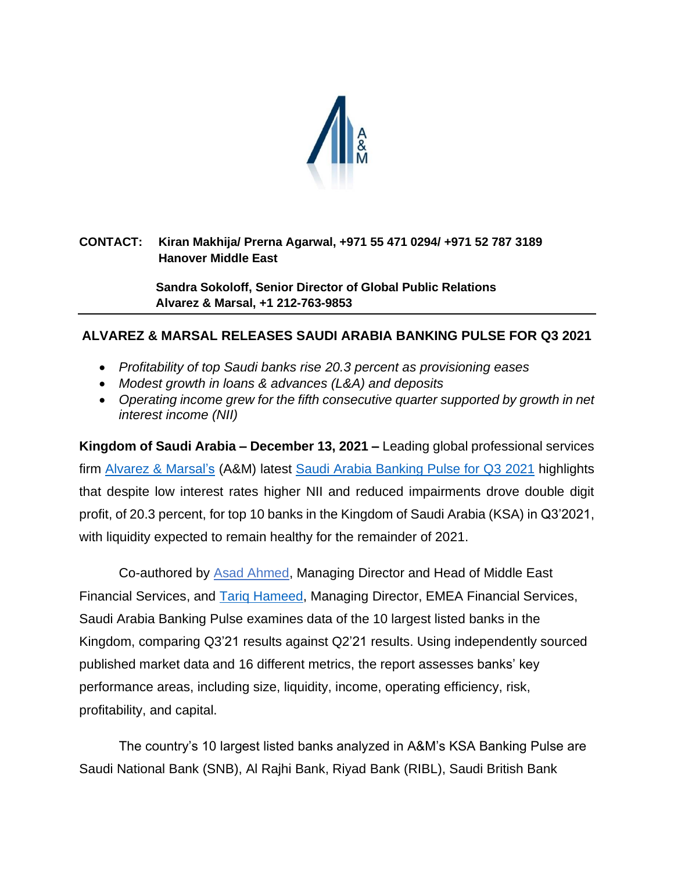

## **CONTACT: Kiran Makhija/ Prerna Agarwal, +971 55 471 0294/ +971 52 787 3189 Hanover Middle East**

 **Sandra Sokoloff, Senior Director of Global Public Relations Alvarez & Marsal, +1 212-763-9853**

# **ALVAREZ & MARSAL RELEASES SAUDI ARABIA BANKING PULSE FOR Q3 2021**

- *Profitability of top Saudi banks rise 20.3 percent as provisioning eases*
- *Modest growth in loans & advances (L&A) and deposits*
- Operating income grew for the fifth consecutive quarter supported by growth in net *interest income (NII)*

**Kingdom of Saudi Arabia – December 13, 2021 –** Leading global professional services firm [Alvarez & Marsal'](http://www.alvarezandmarsal.com/)s (A&M) latest [Saudi Arabia Banking Pulse for Q3](https://www.alvarezandmarsal.com/sites/default/files/2021-12/KSA%20Banking%20Pulse%20Q3%202021_0.pdf) 2021 highlights that despite low interest rates higher NII and reduced impairments drove double digit profit, of 20.3 percent, for top 10 banks in the Kingdom of Saudi Arabia (KSA) in Q3'2021, with liquidity expected to remain healthy for the remainder of 2021.

Co-authored by [Asad Ahmed,](https://www.alvarezandmarsal.com/our-people/asad-ahmed) Managing Director and Head of Middle East Financial Services, and [Tariq Hameed,](https://www.alvarezandmarsal.com/our-people/tariq-hameed) Managing Director, EMEA Financial Services, Saudi Arabia Banking Pulse examines data of the 10 largest listed banks in the Kingdom, comparing Q3'21 results against Q2'21 results. Using independently sourced published market data and 16 different metrics, the report assesses banks' key performance areas, including size, liquidity, income, operating efficiency, risk, profitability, and capital.

The country's 10 largest listed banks analyzed in A&M's KSA Banking Pulse are Saudi National Bank (SNB), Al Rajhi Bank, Riyad Bank (RIBL), Saudi British Bank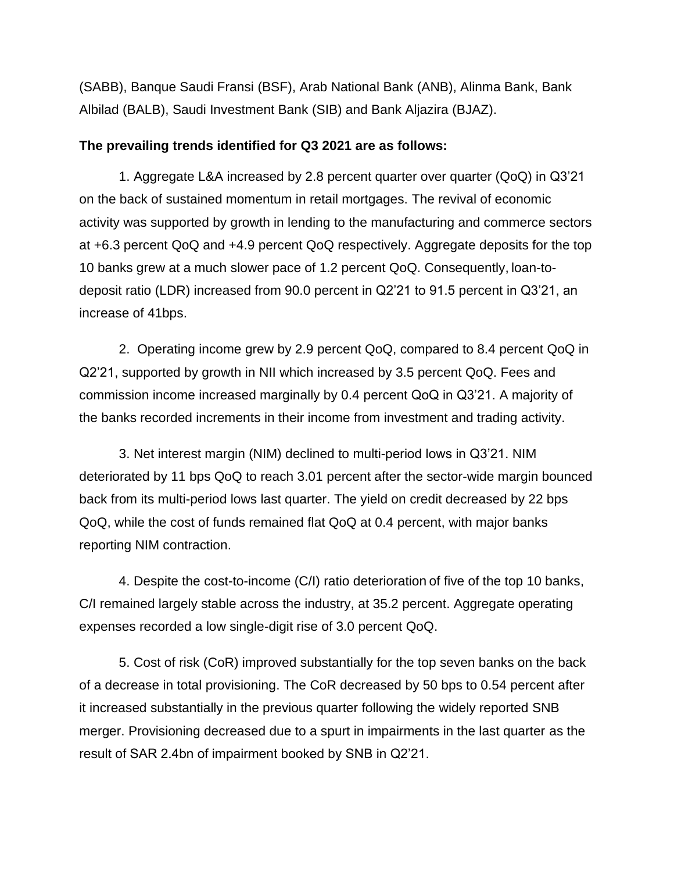(SABB), Banque Saudi Fransi (BSF), Arab National Bank (ANB), Alinma Bank, Bank Albilad (BALB), Saudi Investment Bank (SIB) and Bank Aljazira (BJAZ).

#### **The prevailing trends identified for Q3 2021 are as follows:**

1. Aggregate L&A increased by 2.8 percent quarter over quarter (QoQ) in Q3'21 on the back of sustained momentum in retail mortgages. The revival of economic activity was supported by growth in lending to the manufacturing and commerce sectors at +6.3 percent QoQ and +4.9 percent QoQ respectively. Aggregate deposits for the top 10 banks grew at a much slower pace of 1.2 percent QoQ. Consequently, loan-todeposit ratio (LDR) increased from 90.0 percent in Q2'21 to 91.5 percent in Q3'21, an increase of 41bps.

2. Operating income grew by 2.9 percent QoQ, compared to 8.4 percent QoQ in Q2'21, supported by growth in NII which increased by 3.5 percent QoQ. Fees and commission income increased marginally by 0.4 percent QoQ in Q3'21. A majority of the banks recorded increments in their income from investment and trading activity.

3. Net interest margin (NIM) declined to multi-period lows in Q3'21. NIM deteriorated by 11 bps QoQ to reach 3.01 percent after the sector-wide margin bounced back from its multi-period lows last quarter. The yield on credit decreased by 22 bps QoQ, while the cost of funds remained flat QoQ at 0.4 percent, with major banks reporting NIM contraction.

4. Despite the cost-to-income (C/I) ratio deterioration of five of the top 10 banks, C/I remained largely stable across the industry, at 35.2 percent. Aggregate operating expenses recorded a low single-digit rise of 3.0 percent QoQ.

5. Cost of risk (CoR) improved substantially for the top seven banks on the back of a decrease in total provisioning. The CoR decreased by 50 bps to 0.54 percent after it increased substantially in the previous quarter following the widely reported SNB merger. Provisioning decreased due to a spurt in impairments in the last quarter as the result of SAR 2.4bn of impairment booked by SNB in Q2'21.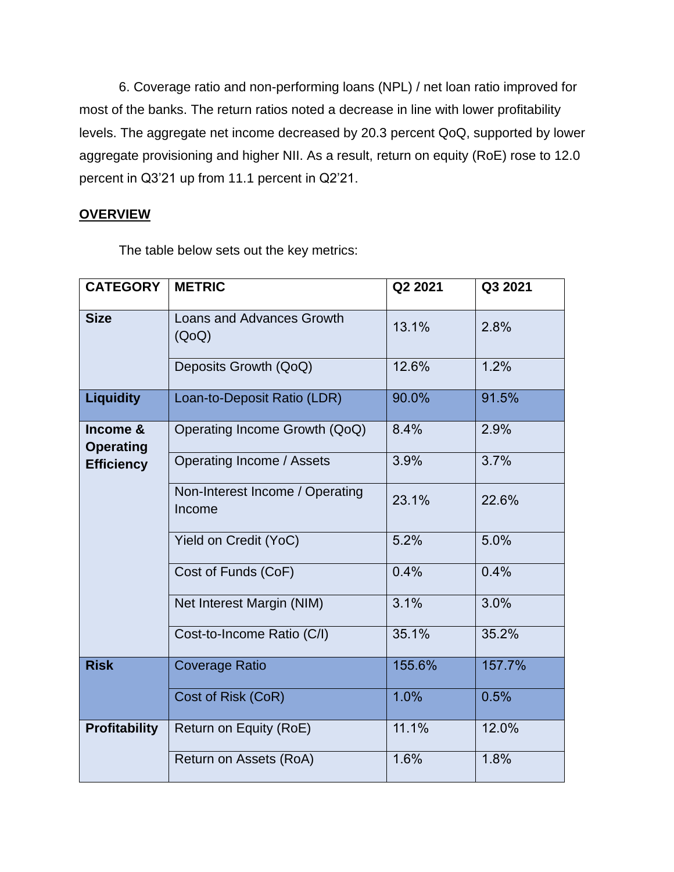6. Coverage ratio and non-performing loans (NPL) / net loan ratio improved for most of the banks. The return ratios noted a decrease in line with lower profitability levels. The aggregate net income decreased by 20.3 percent QoQ, supported by lower aggregate provisioning and higher NII. As a result, return on equity (RoE) rose to 12.0 percent in Q3'21 up from 11.1 percent in Q2'21.

### **OVERVIEW**

The table below sets out the key metrics:

| <b>CATEGORY</b>                                   | <b>METRIC</b>                             | Q2 2021 | Q3 2021 |
|---------------------------------------------------|-------------------------------------------|---------|---------|
| <b>Size</b>                                       | <b>Loans and Advances Growth</b><br>(QoQ) | 13.1%   | 2.8%    |
|                                                   | Deposits Growth (QoQ)                     | 12.6%   | 1.2%    |
| <b>Liquidity</b>                                  | Loan-to-Deposit Ratio (LDR)               | 90.0%   | 91.5%   |
| Income &<br><b>Operating</b><br><b>Efficiency</b> | Operating Income Growth (QoQ)             | 8.4%    | 2.9%    |
|                                                   | Operating Income / Assets                 | 3.9%    | 3.7%    |
|                                                   | Non-Interest Income / Operating<br>Income | 23.1%   | 22.6%   |
|                                                   | Yield on Credit (YoC)                     | 5.2%    | 5.0%    |
|                                                   | Cost of Funds (CoF)                       | 0.4%    | 0.4%    |
|                                                   | Net Interest Margin (NIM)                 | 3.1%    | 3.0%    |
|                                                   | Cost-to-Income Ratio (C/I)                | 35.1%   | 35.2%   |
| <b>Risk</b>                                       | <b>Coverage Ratio</b>                     | 155.6%  | 157.7%  |
|                                                   | Cost of Risk (CoR)                        | 1.0%    | 0.5%    |
| <b>Profitability</b>                              | Return on Equity (RoE)                    | 11.1%   | 12.0%   |
|                                                   | Return on Assets (RoA)                    | 1.6%    | 1.8%    |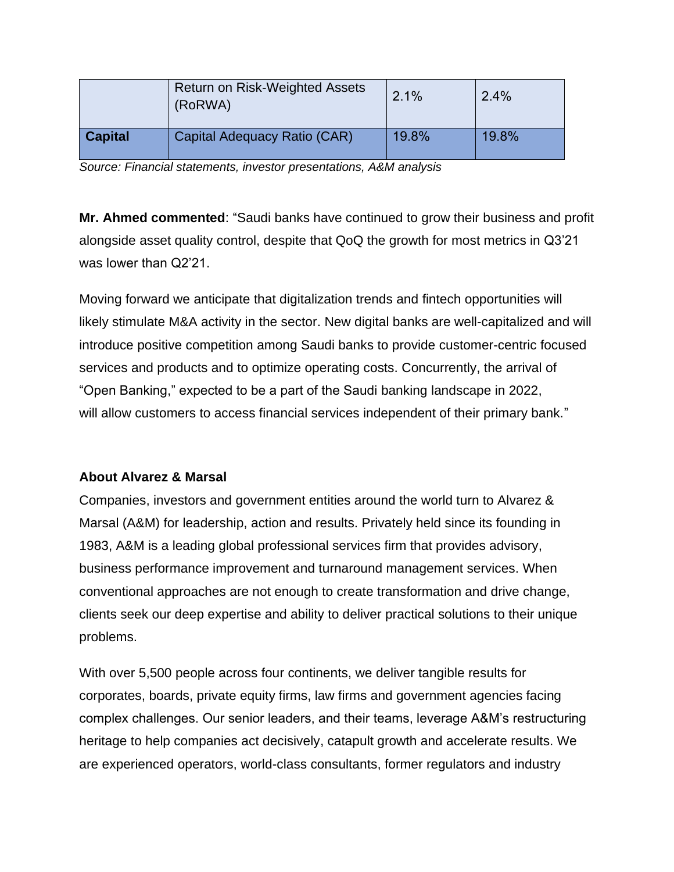|                | <b>Return on Risk-Weighted Assets</b><br>(RoRWA) | 2.1%  | 2.4%  |
|----------------|--------------------------------------------------|-------|-------|
| <b>Capital</b> | Capital Adequacy Ratio (CAR)                     | 19.8% | 19.8% |

*Source: Financial statements, investor presentations, A&M analysis*

**Mr. Ahmed commented**: "Saudi banks have continued to grow their business and profit alongside asset quality control, despite that QoQ the growth for most metrics in Q3'21 was lower than Q2'21.

Moving forward we anticipate that digitalization trends and fintech opportunities will likely stimulate M&A activity in the sector. New digital banks are well-capitalized and will introduce positive competition among Saudi banks to provide customer-centric focused services and products and to optimize operating costs. Concurrently, the arrival of "Open Banking," expected to be a part of the Saudi banking landscape in 2022, will allow customers to access financial services independent of their primary bank."

# **About Alvarez & Marsal**

Companies, investors and government entities around the world turn to Alvarez & Marsal (A&M) for leadership, action and results. Privately held since its founding in 1983, A&M is a leading global professional services firm that provides advisory, business performance improvement and turnaround management services. When conventional approaches are not enough to create transformation and drive change, clients seek our deep expertise and ability to deliver practical solutions to their unique problems.

With over 5,500 people across four continents, we deliver tangible results for corporates, boards, private equity firms, law firms and government agencies facing complex challenges. Our senior leaders, and their teams, leverage A&M's restructuring heritage to help companies act decisively, catapult growth and accelerate results. We are experienced operators, world-class consultants, former regulators and industry